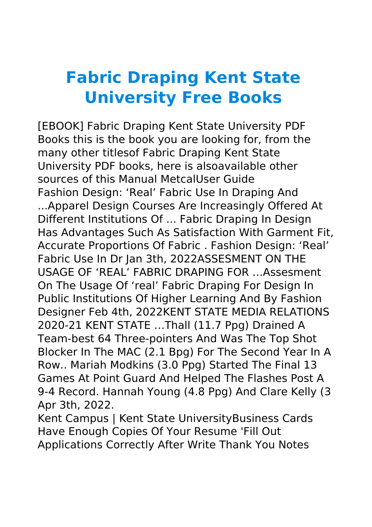## **Fabric Draping Kent State University Free Books**

[EBOOK] Fabric Draping Kent State University PDF Books this is the book you are looking for, from the many other titlesof Fabric Draping Kent State University PDF books, here is alsoavailable other sources of this Manual MetcalUser Guide Fashion Design: 'Real' Fabric Use In Draping And ...Apparel Design Courses Are Increasingly Offered At Different Institutions Of ... Fabric Draping In Design Has Advantages Such As Satisfaction With Garment Fit, Accurate Proportions Of Fabric . Fashion Design: 'Real' Fabric Use In Dr Jan 3th, 2022ASSESMENT ON THE USAGE OF 'REAL' FABRIC DRAPING FOR …Assesment On The Usage Of 'real' Fabric Draping For Design In Public Institutions Of Higher Learning And By Fashion Designer Feb 4th, 2022KENT STATE MEDIA RELATIONS 2020-21 KENT STATE …Thall (11.7 Ppg) Drained A Team-best 64 Three-pointers And Was The Top Shot Blocker In The MAC (2.1 Bpg) For The Second Year In A Row.. Mariah Modkins (3.0 Ppg) Started The Final 13 Games At Point Guard And Helped The Flashes Post A 9-4 Record. Hannah Young (4.8 Ppg) And Clare Kelly (3 Apr 3th, 2022.

Kent Campus | Kent State UniversityBusiness Cards Have Enough Copies Of Your Resume 'Fill Out Applications Correctly After Write Thank You Notes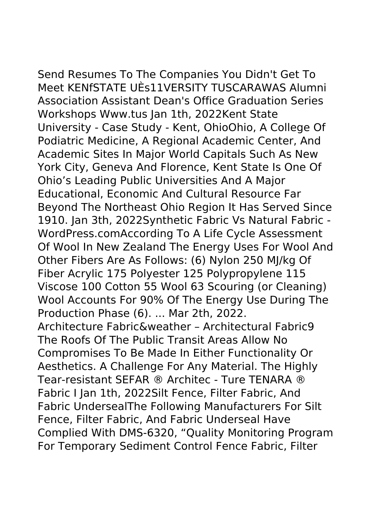Send Resumes To The Companies You Didn't Get To Meet KENfSTATE UÈs11VERSITY TUSCARAWAS Alumni Association Assistant Dean's Office Graduation Series Workshops Www.tus Jan 1th, 2022Kent State University - Case Study - Kent, OhioOhio, A College Of Podiatric Medicine, A Regional Academic Center, And Academic Sites In Major World Capitals Such As New York City, Geneva And Florence, Kent State Is One Of Ohio's Leading Public Universities And A Major Educational, Economic And Cultural Resource Far Beyond The Northeast Ohio Region It Has Served Since 1910. Jan 3th, 2022Synthetic Fabric Vs Natural Fabric -

WordPress.comAccording To A Life Cycle Assessment

Of Wool In New Zealand The Energy Uses For Wool And Other Fibers Are As Follows: (6) Nylon 250 MJ/kg Of Fiber Acrylic 175 Polyester 125 Polypropylene 115 Viscose 100 Cotton 55 Wool 63 Scouring (or Cleaning) Wool Accounts For 90% Of The Energy Use During The Production Phase (6). ... Mar 2th, 2022. Architecture Fabric&weather – Architectural Fabric9 The Roofs Of The Public Transit Areas Allow No Compromises To Be Made In Either Functionality Or Aesthetics. A Challenge For Any Material. The Highly Tear-resistant SEFAR ® Architec - Ture TENARA ® Fabric I Jan 1th, 2022Silt Fence, Filter Fabric, And

Fabric UndersealThe Following Manufacturers For Silt Fence, Filter Fabric, And Fabric Underseal Have Complied With DMS-6320, "Quality Monitoring Program For Temporary Sediment Control Fence Fabric, Filter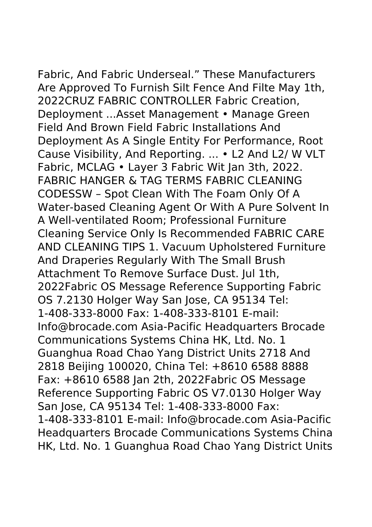Fabric, And Fabric Underseal." These Manufacturers Are Approved To Furnish Silt Fence And Filte May 1th, 2022CRUZ FABRIC CONTROLLER Fabric Creation, Deployment ...Asset Management • Manage Green Field And Brown Field Fabric Installations And Deployment As A Single Entity For Performance, Root Cause Visibility, And Reporting. ... • L2 And L2/ W VLT Fabric, MCLAG • Layer 3 Fabric Wit Jan 3th, 2022. FABRIC HANGER & TAG TERMS FABRIC CLEANING CODESSW – Spot Clean With The Foam Only Of A Water-based Cleaning Agent Or With A Pure Solvent In A Well-ventilated Room; Professional Furniture Cleaning Service Only Is Recommended FABRIC CARE AND CLEANING TIPS 1. Vacuum Upholstered Furniture And Draperies Regularly With The Small Brush Attachment To Remove Surface Dust. Jul 1th, 2022Fabric OS Message Reference Supporting Fabric OS 7.2130 Holger Way San Jose, CA 95134 Tel: 1-408-333-8000 Fax: 1-408-333-8101 E-mail: Info@brocade.com Asia-Pacific Headquarters Brocade Communications Systems China HK, Ltd. No. 1 Guanghua Road Chao Yang District Units 2718 And 2818 Beijing 100020, China Tel: +8610 6588 8888 Fax: +8610 6588 Jan 2th, 2022Fabric OS Message Reference Supporting Fabric OS V7.0130 Holger Way San Jose, CA 95134 Tel: 1-408-333-8000 Fax: 1-408-333-8101 E-mail: Info@brocade.com Asia-Pacific Headquarters Brocade Communications Systems China

HK, Ltd. No. 1 Guanghua Road Chao Yang District Units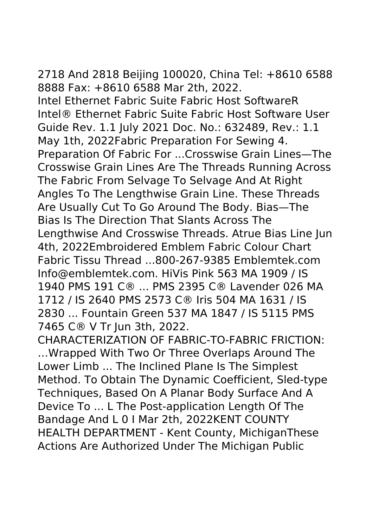2718 And 2818 Beijing 100020, China Tel: +8610 6588 8888 Fax: +8610 6588 Mar 2th, 2022.

Intel Ethernet Fabric Suite Fabric Host SoftwareR Intel® Ethernet Fabric Suite Fabric Host Software User Guide Rev. 1.1 July 2021 Doc. No.: 632489, Rev.: 1.1 May 1th, 2022Fabric Preparation For Sewing 4. Preparation Of Fabric For ...Crosswise Grain Lines—The Crosswise Grain Lines Are The Threads Running Across The Fabric From Selvage To Selvage And At Right Angles To The Lengthwise Grain Line. These Threads Are Usually Cut To Go Around The Body. Bias—The Bias Is The Direction That Slants Across The Lengthwise And Crosswise Threads. Atrue Bias Line Jun 4th, 2022Embroidered Emblem Fabric Colour Chart Fabric Tissu Thread ...800-267-9385 Emblemtek.com Info@emblemtek.com. HiVis Pink 563 MA 1909 / IS 1940 PMS 191 C® ... PMS 2395 C® Lavender 026 MA 1712 / IS 2640 PMS 2573 C® Iris 504 MA 1631 / IS 2830 ... Fountain Green 537 MA 1847 / IS 5115 PMS 7465 C® V Tr Jun 3th, 2022.

CHARACTERIZATION OF FABRIC-TO-FABRIC FRICTION: …Wrapped With Two Or Three Overlaps Around The Lower Limb ... The Inclined Plane Is The Simplest Method. To Obtain The Dynamic Coefficient, Sled-type Techniques, Based On A Planar Body Surface And A Device To ... L The Post-application Length Of The Bandage And L 0 I Mar 2th, 2022KENT COUNTY HEALTH DEPARTMENT - Kent County, MichiganThese Actions Are Authorized Under The Michigan Public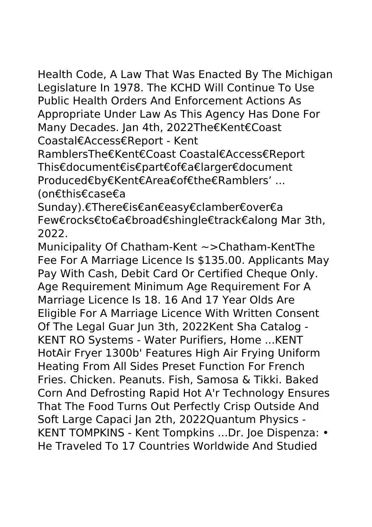Health Code, A Law That Was Enacted By The Michigan Legislature In 1978. The KCHD Will Continue To Use Public Health Orders And Enforcement Actions As Appropriate Under Law As This Agency Has Done For Many Decades. Jan 4th, 2022The€Kent€Coast Coastal€Access€Report - Kent

RamblersThe€Kent€Coast Coastal€Access€Report This€document€is€part€of€a€larger€document Produced€by€Kent€Area€of€the€Ramblers' ... (on€this€case€a

Sunday).€There€is€an€easy€clamber€over€a Few€rocks€to€a€broad€shingle€track€along Mar 3th, 2022.

Municipality Of Chatham-Kent ~>Chatham-KentThe Fee For A Marriage Licence Is \$135.00. Applicants May Pay With Cash, Debit Card Or Certified Cheque Only. Age Requirement Minimum Age Requirement For A Marriage Licence Is 18. 16 And 17 Year Olds Are Eligible For A Marriage Licence With Written Consent Of The Legal Guar Jun 3th, 2022Kent Sha Catalog - KENT RO Systems - Water Purifiers, Home ...KENT HotAir Fryer 1300b' Features High Air Frying Uniform Heating From All Sides Preset Function For French Fries. Chicken. Peanuts. Fish, Samosa & Tikki. Baked Corn And Defrosting Rapid Hot A'r Technology Ensures That The Food Turns Out Perfectly Crisp Outside And Soft Large Capaci Jan 2th, 2022Quantum Physics - KENT TOMPKINS - Kent Tompkins ...Dr. Joe Dispenza: • He Traveled To 17 Countries Worldwide And Studied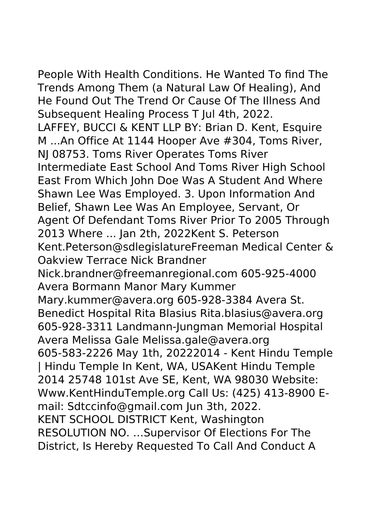People With Health Conditions. He Wanted To find The Trends Among Them (a Natural Law Of Healing), And He Found Out The Trend Or Cause Of The Illness And Subsequent Healing Process T Jul 4th, 2022. LAFFEY, BUCCI & KENT LLP BY: Brian D. Kent, Esquire M ...An Office At 1144 Hooper Ave #304, Toms River, NJ 08753. Toms River Operates Toms River Intermediate East School And Toms River High School East From Which John Doe Was A Student And Where Shawn Lee Was Employed. 3. Upon Information And Belief, Shawn Lee Was An Employee, Servant, Or Agent Of Defendant Toms River Prior To 2005 Through 2013 Where ... Jan 2th, 2022Kent S. Peterson Kent.Peterson@sdlegislatureFreeman Medical Center & Oakview Terrace Nick Brandner Nick.brandner@freemanregional.com 605-925-4000 Avera Bormann Manor Mary Kummer Mary.kummer@avera.org 605-928-3384 Avera St. Benedict Hospital Rita Blasius Rita.blasius@avera.org 605-928-3311 Landmann-Jungman Memorial Hospital Avera Melissa Gale Melissa.gale@avera.org 605-583-2226 May 1th, 20222014 - Kent Hindu Temple | Hindu Temple In Kent, WA, USAKent Hindu Temple 2014 25748 101st Ave SE, Kent, WA 98030 Website: Www.KentHinduTemple.org Call Us: (425) 413-8900 Email: Sdtccinfo@gmail.com Jun 3th, 2022. KENT SCHOOL DISTRICT Kent, Washington RESOLUTION NO. …Supervisor Of Elections For The District, Is Hereby Requested To Call And Conduct A